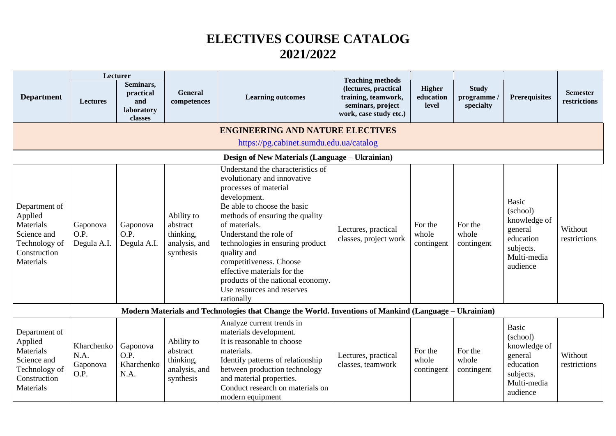## **ELECTIVES COURSE CATALOG 2021/2022**

|                                                                                                    | Lecturer                               |                                                        |                                                                   |                                                                                                                                                                                                                                                                                                                                                                                                                      | <b>Teaching methods</b>                                                                    |                                |                                        |                                                                                                          |                                 |  |  |  |
|----------------------------------------------------------------------------------------------------|----------------------------------------|--------------------------------------------------------|-------------------------------------------------------------------|----------------------------------------------------------------------------------------------------------------------------------------------------------------------------------------------------------------------------------------------------------------------------------------------------------------------------------------------------------------------------------------------------------------------|--------------------------------------------------------------------------------------------|--------------------------------|----------------------------------------|----------------------------------------------------------------------------------------------------------|---------------------------------|--|--|--|
| <b>Department</b>                                                                                  | <b>Lectures</b>                        | Seminars,<br>practical<br>and<br>laboratory<br>classes | <b>General</b><br>competences                                     | <b>Learning outcomes</b>                                                                                                                                                                                                                                                                                                                                                                                             | (lectures, practical<br>training, teamwork,<br>seminars, project<br>work, case study etc.) | Higher<br>education<br>level   | <b>Study</b><br>programme<br>specialty | <b>Prerequisites</b>                                                                                     | <b>Semester</b><br>restrictions |  |  |  |
| <b>ENGINEERING AND NATURE ELECTIVES</b>                                                            |                                        |                                                        |                                                                   |                                                                                                                                                                                                                                                                                                                                                                                                                      |                                                                                            |                                |                                        |                                                                                                          |                                 |  |  |  |
| https://pg.cabinet.sumdu.edu.ua/catalog                                                            |                                        |                                                        |                                                                   |                                                                                                                                                                                                                                                                                                                                                                                                                      |                                                                                            |                                |                                        |                                                                                                          |                                 |  |  |  |
| Design of New Materials (Language – Ukrainian)                                                     |                                        |                                                        |                                                                   |                                                                                                                                                                                                                                                                                                                                                                                                                      |                                                                                            |                                |                                        |                                                                                                          |                                 |  |  |  |
| Department of<br>Applied<br>Materials<br>Science and<br>Technology of<br>Construction<br>Materials | Gaponova<br>O.P.<br>Degula A.I.        | Gaponova<br>O.P.<br>Degula A.I.                        | Ability to<br>abstract<br>thinking,<br>analysis, and<br>synthesis | Understand the characteristics of<br>evolutionary and innovative<br>processes of material<br>development.<br>Be able to choose the basic<br>methods of ensuring the quality<br>of materials.<br>Understand the role of<br>technologies in ensuring product<br>quality and<br>competitiveness. Choose<br>effective materials for the<br>products of the national economy.<br>Use resources and reserves<br>rationally | Lectures, practical<br>classes, project work                                               | For the<br>whole<br>contingent | For the<br>whole<br>contingent         | <b>Basic</b><br>(school)<br>knowledge of<br>general<br>education<br>subjects.<br>Multi-media<br>audience | Without<br>restrictions         |  |  |  |
|                                                                                                    |                                        |                                                        |                                                                   | Modern Materials and Technologies that Change the World. Inventions of Mankind (Language – Ukrainian)                                                                                                                                                                                                                                                                                                                |                                                                                            |                                |                                        |                                                                                                          |                                 |  |  |  |
| Department of<br>Applied<br>Materials<br>Science and<br>Technology of<br>Construction<br>Materials | Kharchenko<br>N.A.<br>Gaponova<br>O.P. | Gaponova<br>O.P.<br>Kharchenko<br>N.A.                 | Ability to<br>abstract<br>thinking,<br>analysis, and<br>synthesis | Analyze current trends in<br>materials development.<br>It is reasonable to choose<br>materials.<br>Identify patterns of relationship<br>between production technology<br>and material properties.<br>Conduct research on materials on<br>modern equipment                                                                                                                                                            | Lectures, practical<br>classes, teamwork                                                   | For the<br>whole<br>contingent | For the<br>whole<br>contingent         | <b>Basic</b><br>(school)<br>knowledge of<br>general<br>education<br>subjects.<br>Multi-media<br>audience | Without<br>restrictions         |  |  |  |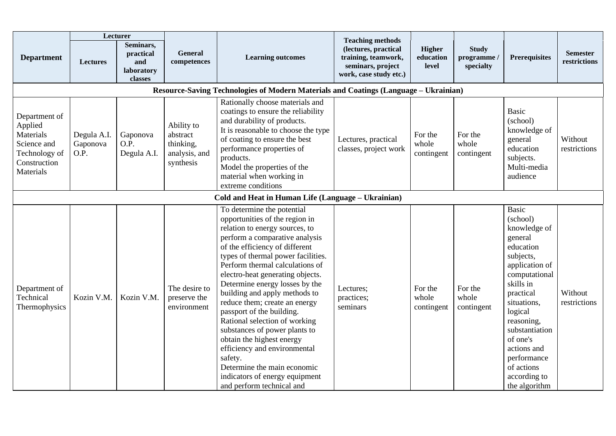|                                                                                                    | Lecturer                        |                                                        |                                                                   |                                                                                                                                                                                                                                                                                                                                                                                                                                                                                                                                                                                                                                                          |                                                                                                                       |                                |                                          |                                                                                                                                                                                                                                                                                               |                                 |
|----------------------------------------------------------------------------------------------------|---------------------------------|--------------------------------------------------------|-------------------------------------------------------------------|----------------------------------------------------------------------------------------------------------------------------------------------------------------------------------------------------------------------------------------------------------------------------------------------------------------------------------------------------------------------------------------------------------------------------------------------------------------------------------------------------------------------------------------------------------------------------------------------------------------------------------------------------------|-----------------------------------------------------------------------------------------------------------------------|--------------------------------|------------------------------------------|-----------------------------------------------------------------------------------------------------------------------------------------------------------------------------------------------------------------------------------------------------------------------------------------------|---------------------------------|
| <b>Department</b>                                                                                  | <b>Lectures</b>                 | Seminars,<br>practical<br>and<br>laboratory<br>classes | General<br>competences                                            | <b>Learning outcomes</b>                                                                                                                                                                                                                                                                                                                                                                                                                                                                                                                                                                                                                                 | <b>Teaching methods</b><br>(lectures, practical<br>training, teamwork,<br>seminars, project<br>work, case study etc.) | Higher<br>education<br>level   | <b>Study</b><br>programme /<br>specialty | <b>Prerequisites</b>                                                                                                                                                                                                                                                                          | <b>Semester</b><br>restrictions |
|                                                                                                    |                                 |                                                        |                                                                   | Resource-Saving Technologies of Modern Materials and Coatings (Language – Ukrainian)                                                                                                                                                                                                                                                                                                                                                                                                                                                                                                                                                                     |                                                                                                                       |                                |                                          |                                                                                                                                                                                                                                                                                               |                                 |
| Department of<br>Applied<br>Materials<br>Science and<br>Technology of<br>Construction<br>Materials | Degula A.I.<br>Gaponova<br>O.P. | Gaponova<br>O.P.<br>Degula A.I.                        | Ability to<br>abstract<br>thinking,<br>analysis, and<br>synthesis | Rationally choose materials and<br>coatings to ensure the reliability<br>and durability of products.<br>It is reasonable to choose the type<br>of coating to ensure the best<br>performance properties of<br>products.<br>Model the properties of the<br>material when working in<br>extreme conditions                                                                                                                                                                                                                                                                                                                                                  | Lectures, practical<br>classes, project work                                                                          | For the<br>whole<br>contingent | For the<br>whole<br>contingent           | <b>Basic</b><br>(school)<br>knowledge of<br>general<br>education<br>subjects.<br>Multi-media<br>audience                                                                                                                                                                                      | Without<br>restrictions         |
|                                                                                                    |                                 |                                                        |                                                                   | Cold and Heat in Human Life (Language – Ukrainian)                                                                                                                                                                                                                                                                                                                                                                                                                                                                                                                                                                                                       |                                                                                                                       |                                |                                          |                                                                                                                                                                                                                                                                                               |                                 |
| Department of<br>Technical<br>Thermophysics                                                        | Kozin V.M.                      | Kozin V.M.                                             | The desire to<br>preserve the<br>environment                      | To determine the potential<br>opportunities of the region in<br>relation to energy sources, to<br>perform a comparative analysis<br>of the efficiency of different<br>types of thermal power facilities.<br>Perform thermal calculations of<br>electro-heat generating objects.<br>Determine energy losses by the<br>building and apply methods to<br>reduce them; create an energy<br>passport of the building.<br>Rational selection of working<br>substances of power plants to<br>obtain the highest energy<br>efficiency and environmental<br>safety.<br>Determine the main economic<br>indicators of energy equipment<br>and perform technical and | Lectures;<br>practices;<br>seminars                                                                                   | For the<br>whole<br>contingent | For the<br>whole<br>contingent           | <b>Basic</b><br>(school)<br>knowledge of<br>general<br>education<br>subjects,<br>application of<br>computational<br>skills in<br>practical<br>situations,<br>logical<br>reasoning,<br>substantiation<br>of one's<br>actions and<br>performance<br>of actions<br>according to<br>the algorithm | Without<br>restrictions         |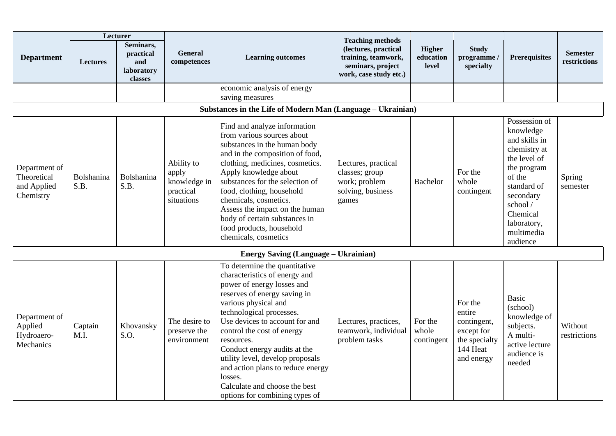|                                                          | Lecturer           |                                                        |                                                                |                                                                                                                                                                                                                                                                                                                                                                                                                                                       |                                                                                                                       |                                |                                                                                           |                                                                                                                                                                                                   |                                 |
|----------------------------------------------------------|--------------------|--------------------------------------------------------|----------------------------------------------------------------|-------------------------------------------------------------------------------------------------------------------------------------------------------------------------------------------------------------------------------------------------------------------------------------------------------------------------------------------------------------------------------------------------------------------------------------------------------|-----------------------------------------------------------------------------------------------------------------------|--------------------------------|-------------------------------------------------------------------------------------------|---------------------------------------------------------------------------------------------------------------------------------------------------------------------------------------------------|---------------------------------|
| <b>Department</b>                                        | <b>Lectures</b>    | Seminars,<br>practical<br>and<br>laboratory<br>classes | <b>General</b><br>competences                                  | <b>Learning outcomes</b>                                                                                                                                                                                                                                                                                                                                                                                                                              | <b>Teaching methods</b><br>(lectures, practical<br>training, teamwork,<br>seminars, project<br>work, case study etc.) | Higher<br>education<br>level   | <b>Study</b><br>programme /<br>specialty                                                  | <b>Prerequisites</b>                                                                                                                                                                              | <b>Semester</b><br>restrictions |
|                                                          |                    |                                                        |                                                                | economic analysis of energy<br>saving measures                                                                                                                                                                                                                                                                                                                                                                                                        |                                                                                                                       |                                |                                                                                           |                                                                                                                                                                                                   |                                 |
|                                                          |                    |                                                        |                                                                | Substances in the Life of Modern Man (Language - Ukrainian)                                                                                                                                                                                                                                                                                                                                                                                           |                                                                                                                       |                                |                                                                                           |                                                                                                                                                                                                   |                                 |
| Department of<br>Theoretical<br>and Applied<br>Chemistry | Bolshanina<br>S.B. | Bolshanina<br>S.B.                                     | Ability to<br>apply<br>knowledge in<br>practical<br>situations | Find and analyze information<br>from various sources about<br>substances in the human body<br>and in the composition of food,<br>clothing, medicines, cosmetics.<br>Apply knowledge about<br>substances for the selection of<br>food, clothing, household<br>chemicals, cosmetics.<br>Assess the impact on the human<br>body of certain substances in<br>food products, household<br>chemicals, cosmetics                                             | Lectures, practical<br>classes; group<br>work; problem<br>solving, business<br>games                                  | <b>Bachelor</b>                | For the<br>whole<br>contingent                                                            | Possession of<br>knowledge<br>and skills in<br>chemistry at<br>the level of<br>the program<br>of the<br>standard of<br>secondary<br>school /<br>Chemical<br>laboratory,<br>multimedia<br>audience | Spring<br>semester              |
|                                                          |                    |                                                        |                                                                | <b>Energy Saving (Language – Ukrainian)</b>                                                                                                                                                                                                                                                                                                                                                                                                           |                                                                                                                       |                                |                                                                                           |                                                                                                                                                                                                   |                                 |
| Department of<br>Applied<br>Hydroaero-<br>Mechanics      | Captain<br>M.I.    | Khovansky<br>S.O.                                      | The desire to<br>preserve the<br>environment                   | To determine the quantitative<br>characteristics of energy and<br>power of energy losses and<br>reserves of energy saving in<br>various physical and<br>technological processes.<br>Use devices to account for and<br>control the cost of energy<br>resources.<br>Conduct energy audits at the<br>utility level, develop proposals<br>and action plans to reduce energy<br>losses.<br>Calculate and choose the best<br>options for combining types of | Lectures, practices,<br>teamwork, individual<br>problem tasks                                                         | For the<br>whole<br>contingent | For the<br>entire<br>contingent,<br>except for<br>the specialty<br>144 Heat<br>and energy | <b>Basic</b><br>(school)<br>knowledge of<br>subjects.<br>A multi-<br>active lecture<br>audience is<br>needed                                                                                      | Without<br>restrictions         |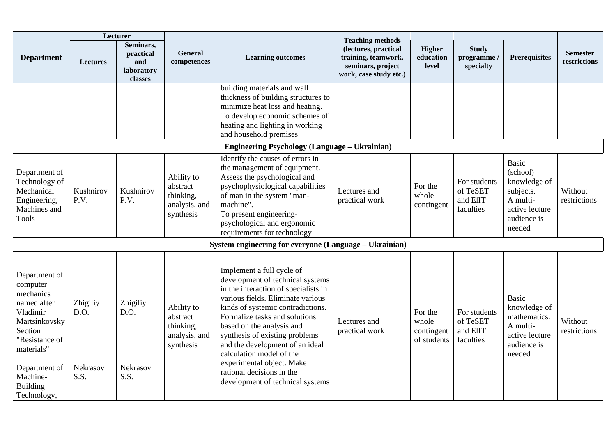| <b>Department</b>                                                                                                                                                                            | <b>Lectures</b>                      | Lecturer<br>Seminars,<br>practical<br>and<br>laboratory<br>classes | <b>General</b><br>competences                                     | <b>Learning outcomes</b>                                                                                                                                                                                                                                                                                                                                                                                                                     | <b>Teaching methods</b><br>(lectures, practical<br>training, teamwork,<br>seminars, project<br>work, case study etc.) | Higher<br>education<br>level                  | <b>Study</b><br>programme/<br>specialty           | <b>Prerequisites</b>                                                                                         | <b>Semester</b><br>restrictions |
|----------------------------------------------------------------------------------------------------------------------------------------------------------------------------------------------|--------------------------------------|--------------------------------------------------------------------|-------------------------------------------------------------------|----------------------------------------------------------------------------------------------------------------------------------------------------------------------------------------------------------------------------------------------------------------------------------------------------------------------------------------------------------------------------------------------------------------------------------------------|-----------------------------------------------------------------------------------------------------------------------|-----------------------------------------------|---------------------------------------------------|--------------------------------------------------------------------------------------------------------------|---------------------------------|
|                                                                                                                                                                                              |                                      |                                                                    |                                                                   | building materials and wall<br>thickness of building structures to<br>minimize heat loss and heating.<br>To develop economic schemes of<br>heating and lighting in working<br>and household premises                                                                                                                                                                                                                                         |                                                                                                                       |                                               |                                                   |                                                                                                              |                                 |
|                                                                                                                                                                                              |                                      |                                                                    |                                                                   | <b>Engineering Psychology (Language - Ukrainian)</b>                                                                                                                                                                                                                                                                                                                                                                                         |                                                                                                                       |                                               |                                                   |                                                                                                              |                                 |
| Department of<br>Technology of<br>Mechanical<br>Engineering,<br>Machines and<br><b>Tools</b>                                                                                                 | Kushnirov<br>P.V.                    | Kushnirov<br>P.V.                                                  | Ability to<br>abstract<br>thinking,<br>analysis, and<br>synthesis | Identify the causes of errors in<br>the management of equipment.<br>Assess the psychological and<br>psychophysiological capabilities<br>of man in the system "man-<br>machine".<br>To present engineering-<br>psychological and ergonomic<br>requirements for technology                                                                                                                                                                     | Lectures and<br>practical work                                                                                        | For the<br>whole<br>contingent                | For students<br>of TeSET<br>and ElIT<br>faculties | <b>Basic</b><br>(school)<br>knowledge of<br>subjects.<br>A multi-<br>active lecture<br>audience is<br>needed | Without<br>restrictions         |
|                                                                                                                                                                                              |                                      |                                                                    |                                                                   | System engineering for everyone (Language – Ukrainian)                                                                                                                                                                                                                                                                                                                                                                                       |                                                                                                                       |                                               |                                                   |                                                                                                              |                                 |
| Department of<br>computer<br>mechanics<br>named after<br>Vladimir<br>Martsinkovsky<br>Section<br>"Resistance of<br>materials"<br>Department of<br>Machine-<br><b>Building</b><br>Technology, | Zhigiliy<br>D.O.<br>Nekrasov<br>S.S. | Zhigiliy<br>D.O.<br>Nekrasov<br>S.S.                               | Ability to<br>abstract<br>thinking,<br>analysis, and<br>synthesis | Implement a full cycle of<br>development of technical systems<br>in the interaction of specialists in<br>various fields. Eliminate various<br>kinds of systemic contradictions.<br>Formalize tasks and solutions<br>based on the analysis and<br>synthesis of existing problems<br>and the development of an ideal<br>calculation model of the<br>experimental object. Make<br>rational decisions in the<br>development of technical systems | Lectures and<br>practical work                                                                                        | For the<br>whole<br>contingent<br>of students | For students<br>of TeSET<br>and ElIT<br>faculties | <b>Basic</b><br>knowledge of<br>mathematics.<br>A multi-<br>active lecture<br>audience is<br>needed          | Without<br>restrictions         |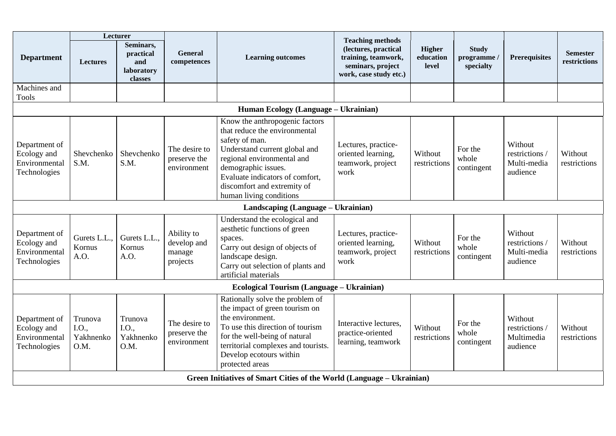|                                                               | Lecturer                              |                                                        |                                                 |                                                                                                                                                                                                                                                                      |                                                                                                                       |                                     |                                          |                                                    |                                 |
|---------------------------------------------------------------|---------------------------------------|--------------------------------------------------------|-------------------------------------------------|----------------------------------------------------------------------------------------------------------------------------------------------------------------------------------------------------------------------------------------------------------------------|-----------------------------------------------------------------------------------------------------------------------|-------------------------------------|------------------------------------------|----------------------------------------------------|---------------------------------|
| <b>Department</b>                                             | <b>Lectures</b>                       | Seminars,<br>practical<br>and<br>laboratory<br>classes | <b>General</b><br>competences                   | <b>Learning outcomes</b>                                                                                                                                                                                                                                             | <b>Teaching methods</b><br>(lectures, practical<br>training, teamwork,<br>seminars, project<br>work, case study etc.) | <b>Higher</b><br>education<br>level | <b>Study</b><br>programme /<br>specialty | Prerequisites                                      | <b>Semester</b><br>restrictions |
| Machines and<br><b>Tools</b>                                  |                                       |                                                        |                                                 |                                                                                                                                                                                                                                                                      |                                                                                                                       |                                     |                                          |                                                    |                                 |
|                                                               |                                       |                                                        |                                                 | Human Ecology (Language – Ukrainian)                                                                                                                                                                                                                                 |                                                                                                                       |                                     |                                          |                                                    |                                 |
| Department of<br>Ecology and<br>Environmental<br>Technologies | Shevchenko<br>S.M.                    | Shevchenko<br>S.M.                                     | The desire to<br>preserve the<br>environment    | Know the anthropogenic factors<br>that reduce the environmental<br>safety of man.<br>Understand current global and<br>regional environmental and<br>demographic issues.<br>Evaluate indicators of comfort,<br>discomfort and extremity of<br>human living conditions | Lectures, practice-<br>oriented learning,<br>teamwork, project<br>work                                                | Without<br>restrictions             | For the<br>whole<br>contingent           | Without<br>restrictions<br>Multi-media<br>audience | Without<br>restrictions         |
|                                                               |                                       |                                                        |                                                 | Landscaping (Language – Ukrainian)                                                                                                                                                                                                                                   |                                                                                                                       |                                     |                                          |                                                    |                                 |
| Department of<br>Ecology and<br>Environmental<br>Technologies | Gurets L.L.,<br>Kornus<br>A.O.        | Gurets L.L.,<br>Kornus<br>A.O.                         | Ability to<br>develop and<br>manage<br>projects | Understand the ecological and<br>aesthetic functions of green<br>spaces.<br>Carry out design of objects of<br>landscape design.<br>Carry out selection of plants and<br>artificial materials                                                                         | Lectures, practice-<br>oriented learning,<br>teamwork, project<br>work                                                | Without<br>restrictions             | For the<br>whole<br>contingent           | Without<br>restrictions<br>Multi-media<br>audience | Without<br>restrictions         |
|                                                               |                                       |                                                        |                                                 | Ecological Tourism (Language - Ukrainian)                                                                                                                                                                                                                            |                                                                                                                       |                                     |                                          |                                                    |                                 |
| Department of<br>Ecology and<br>Environmental<br>Technologies | Trunova<br>I.O.,<br>Yakhnenko<br>O.M. | Trunova<br>I.O.,<br>Yakhnenko<br>O.M.                  | The desire to<br>preserve the<br>environment    | Rationally solve the problem of<br>the impact of green tourism on<br>the environment.<br>To use this direction of tourism<br>for the well-being of natural<br>territorial complexes and tourists.<br>Develop ecotours within<br>protected areas                      | Interactive lectures.<br>practice-oriented<br>learning, teamwork                                                      | Without<br>restrictions             | For the<br>whole<br>contingent           | Without<br>restrictions<br>Multimedia<br>audience  | Without<br>restrictions         |
|                                                               |                                       |                                                        |                                                 | Green Initiatives of Smart Cities of the World (Language - Ukrainian)                                                                                                                                                                                                |                                                                                                                       |                                     |                                          |                                                    |                                 |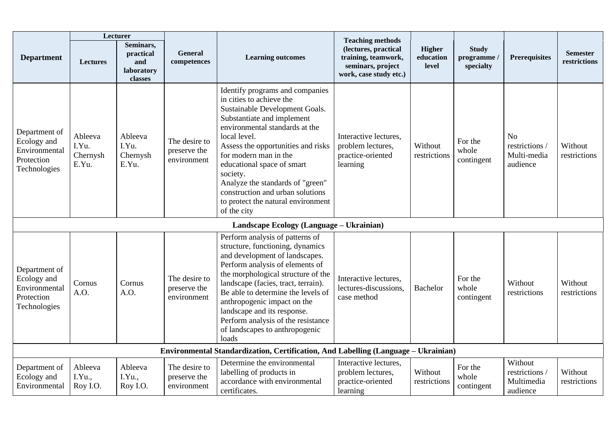|                                                                             | Lecturer                              |                                                        |                                              |                                                                                                                                                                                                                                                                                                                                                                                                                     |                                                                                                                       |                              |                                         |                                                           |                                 |
|-----------------------------------------------------------------------------|---------------------------------------|--------------------------------------------------------|----------------------------------------------|---------------------------------------------------------------------------------------------------------------------------------------------------------------------------------------------------------------------------------------------------------------------------------------------------------------------------------------------------------------------------------------------------------------------|-----------------------------------------------------------------------------------------------------------------------|------------------------------|-----------------------------------------|-----------------------------------------------------------|---------------------------------|
| <b>Department</b>                                                           | <b>Lectures</b>                       | Seminars,<br>practical<br>and<br>laboratory<br>classes | <b>General</b><br>competences                | <b>Learning outcomes</b>                                                                                                                                                                                                                                                                                                                                                                                            | <b>Teaching methods</b><br>(lectures, practical<br>training, teamwork,<br>seminars, project<br>work, case study etc.) | Higher<br>education<br>level | <b>Study</b><br>programme/<br>specialty | <b>Prerequisites</b>                                      | <b>Semester</b><br>restrictions |
| Department of<br>Ecology and<br>Environmental<br>Protection<br>Technologies | Ableeva<br>I.Yu.<br>Chernysh<br>E.Yu. | Ableeva<br>I.Yu.<br>Chernysh<br>E.Yu.                  | The desire to<br>preserve the<br>environment | Identify programs and companies<br>in cities to achieve the<br>Sustainable Development Goals.<br>Substantiate and implement<br>environmental standards at the<br>local level.<br>Assess the opportunities and risks<br>for modern man in the<br>educational space of smart<br>society.<br>Analyze the standards of "green"<br>construction and urban solutions<br>to protect the natural environment<br>of the city | Interactive lectures,<br>problem lectures,<br>practice-oriented<br>learning                                           | Without<br>restrictions      | For the<br>whole<br>contingent          | N <sub>o</sub><br>restrictions<br>Multi-media<br>audience | Without<br>restrictions         |
|                                                                             |                                       |                                                        |                                              | Landscape Ecology (Language - Ukrainian)                                                                                                                                                                                                                                                                                                                                                                            |                                                                                                                       |                              |                                         |                                                           |                                 |
| Department of<br>Ecology and<br>Environmental<br>Protection<br>Technologies | Cornus<br>A.O.                        | Cornus<br>A.O.                                         | The desire to<br>preserve the<br>environment | Perform analysis of patterns of<br>structure, functioning, dynamics<br>and development of landscapes.<br>Perform analysis of elements of<br>the morphological structure of the<br>landscape (facies, tract, terrain).<br>Be able to determine the levels of<br>anthropogenic impact on the<br>landscape and its response.<br>Perform analysis of the resistance<br>of landscapes to anthropogenic<br>loads          | Interactive lectures,<br>lectures-discussions,<br>case method                                                         | <b>Bachelor</b>              | For the<br>whole<br>contingent          | Without<br>restrictions                                   | Without<br>restrictions         |
|                                                                             |                                       |                                                        |                                              | Environmental Standardization, Certification, And Labelling (Language - Ukrainian)                                                                                                                                                                                                                                                                                                                                  |                                                                                                                       |                              |                                         |                                                           |                                 |
| Department of<br>Ecology and<br>Environmental                               | Ableeva<br>I.Yu.,<br>Roy I.O.         | Ableeva<br>I.Yu.,<br>Roy I.O.                          | The desire to<br>preserve the<br>environment | Determine the environmental<br>labelling of products in<br>accordance with environmental<br>certificates.                                                                                                                                                                                                                                                                                                           | Interactive lectures,<br>problem lectures,<br>practice-oriented<br>learning                                           | Without<br>restrictions      | For the<br>whole<br>contingent          | Without<br>restrictions /<br>Multimedia<br>audience       | Without<br>restrictions         |